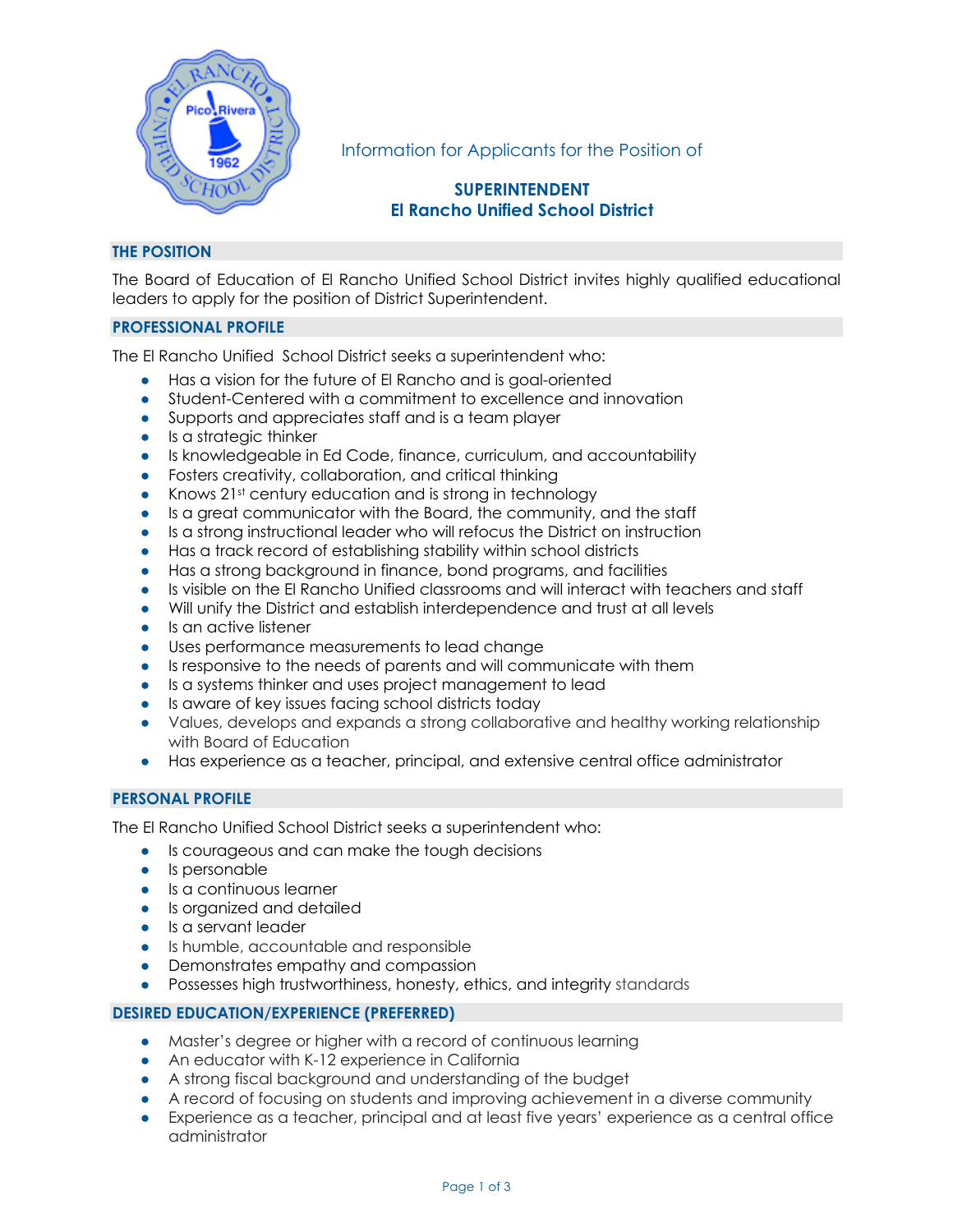

Information for Applicants for the Position of

# **SUPERINTENDENT El Rancho Unified School District**

# **THE POSITION**

The Board of Education of El Rancho Unified School District invites highly qualified educational leaders to apply for the position of District Superintendent.

## **PROFESSIONAL PROFILE**

The El Rancho Unified School District seeks a superintendent who:

- Has a vision for the future of El Rancho and is goal-oriented
- Student-Centered with a commitment to excellence and innovation
- Supports and appreciates staff and is a team player
- Is a strategic thinker
- Is knowledgeable in Ed Code, finance, curriculum, and accountability
- Fosters creativity, collaboration, and critical thinking
- Knows 21st century education and is strong in technology
- Is a great communicator with the Board, the community, and the staff
- Is a strong instructional leader who will refocus the District on instruction
- Has a track record of establishing stability within school districts
- Has a strong background in finance, bond programs, and facilities
- Is visible on the El Rancho Unified classrooms and will interact with teachers and staff
- Will unify the District and establish interdependence and trust at all levels
- Is an active listener
- Uses performance measurements to lead change
- Is responsive to the needs of parents and will communicate with them
- Is a systems thinker and uses project management to lead
- Is aware of key issues facing school districts today
- Values, develops and expands a strong collaborative and healthy working relationship with Board of Education
- Has experience as a teacher, principal, and extensive central office administrator

# **PERSONAL PROFILE**

The El Rancho Unified School District seeks a superintendent who:

- Is courageous and can make the tough decisions
- Is personable
- Is a continuous learner
- Is organized and detailed
- Is a servant leader
- Is humble, accountable and responsible
- Demonstrates empathy and compassion
- Possesses high trustworthiness, honesty, ethics, and integrity standards

# **DESIRED EDUCATION/EXPERIENCE (PREFERRED)**

- Master's degree or higher with a record of continuous learning
- An educator with K-12 experience in California
- A strong fiscal background and understanding of the budget
- A record of focusing on students and improving achievement in a diverse community
- Experience as a teacher, principal and at least five years' experience as a central office administrator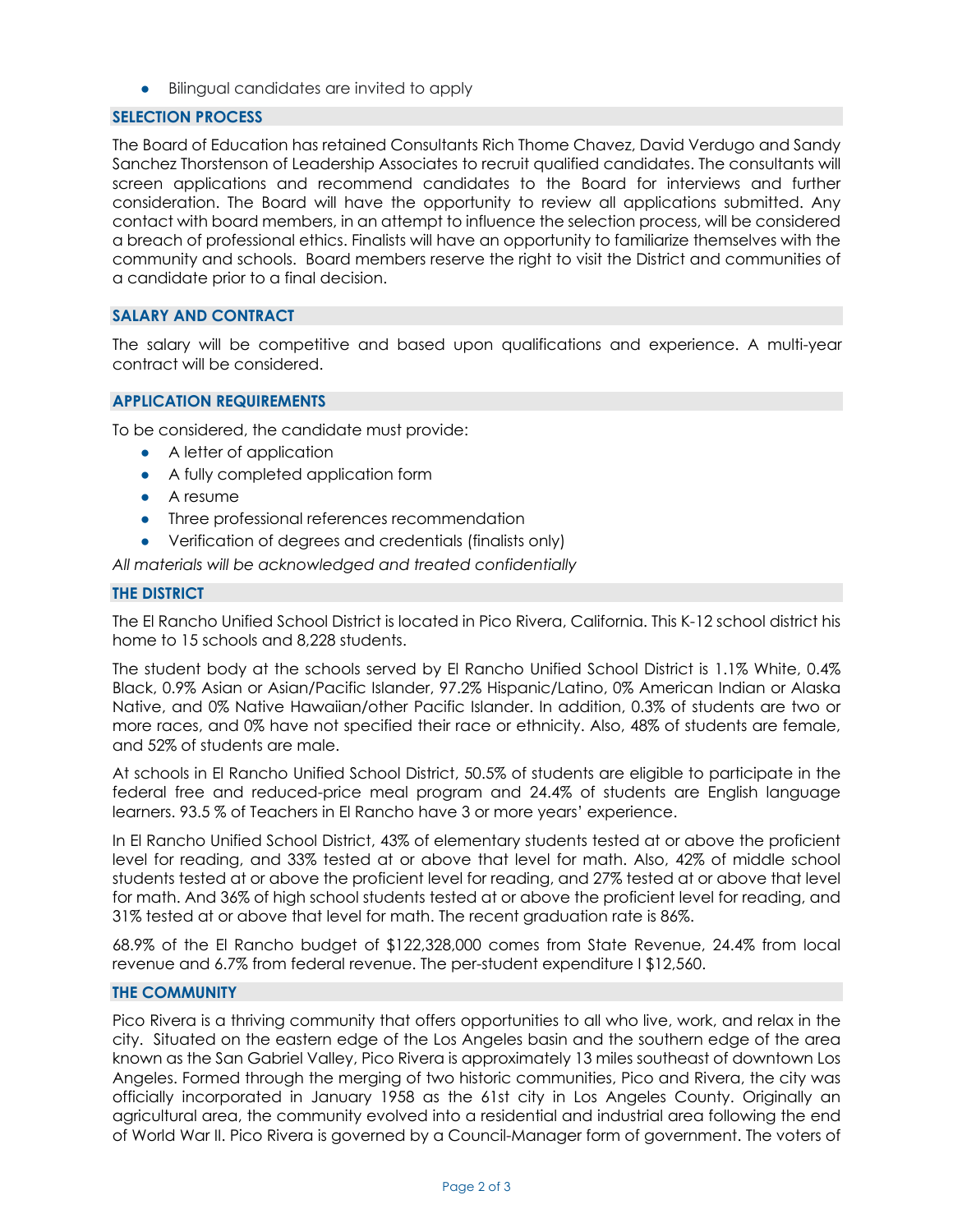• Bilingual candidates are invited to apply

#### **SELECTION PROCESS**

The Board of Education has retained Consultants Rich Thome Chavez, David Verdugo and Sandy Sanchez Thorstenson of Leadership Associates to recruit qualified candidates. The consultants will screen applications and recommend candidates to the Board for interviews and further consideration. The Board will have the opportunity to review all applications submitted. Any contact with board members, in an attempt to influence the selection process, will be considered a breach of professional ethics. Finalists will have an opportunity to familiarize themselves with the community and schools. Board members reserve the right to visit the District and communities of a candidate prior to a final decision.

## **SALARY AND CONTRACT**

The salary will be competitive and based upon qualifications and experience. A multi-year contract will be considered.

## **APPLICATION REQUIREMENTS**

To be considered, the candidate must provide:

- A letter of application
- A fully completed application form
- A resume
- Three professional references recommendation
- Verification of degrees and credentials (finalists only)

*All materials will be acknowledged and treated confidentially*

#### **THE DISTRICT**

The El Rancho Unified School District is located in Pico Rivera, California. This K-12 school district his home to 15 schools and 8,228 students.

The student body at the schools served by El Rancho Unified School District is 1.1% White, 0.4% Black, 0.9% Asian or Asian/Pacific Islander, 97.2% Hispanic/Latino, 0% American Indian or Alaska Native, and 0% Native Hawaiian/other Pacific Islander. In addition, 0.3% of students are two or more races, and 0% have not specified their race or ethnicity. Also, 48% of students are female, and 52% of students are male.

At schools in El Rancho Unified School District, 50.5% of students are eligible to participate in the federal free and reduced-price meal program and 24.4% of students are English language learners. 93.5 % of Teachers in El Rancho have 3 or more years' experience.

In El Rancho Unified School District, 43% of elementary students tested at or above the proficient level for reading, and 33% tested at or above that level for math. Also, 42% of middle school students tested at or above the proficient level for reading, and 27% tested at or above that level for math. And 36% of high school students tested at or above the proficient level for reading, and 31% tested at or above that level for math. The recent graduation rate is 86%.

68.9% of the El Rancho budget of \$122,328,000 comes from State Revenue, 24.4% from local revenue and 6.7% from federal revenue. The per-student expenditure I \$12,560.

## **THE COMMUNITY**

Pico Rivera is a thriving community that offers opportunities to all who live, work, and relax in the city. Situated on the eastern edge of the Los Angeles basin and the southern edge of the area known as the San Gabriel Valley, Pico Rivera is approximately 13 miles southeast of downtown Los Angeles. Formed through the merging of two historic communities, Pico and Rivera, the city was officially incorporated in January 1958 as the 61st city in Los Angeles County. Originally an agricultural area, the community evolved into a residential and industrial area following the end of World War II. Pico Rivera is governed by a Council-Manager form of government. The voters of